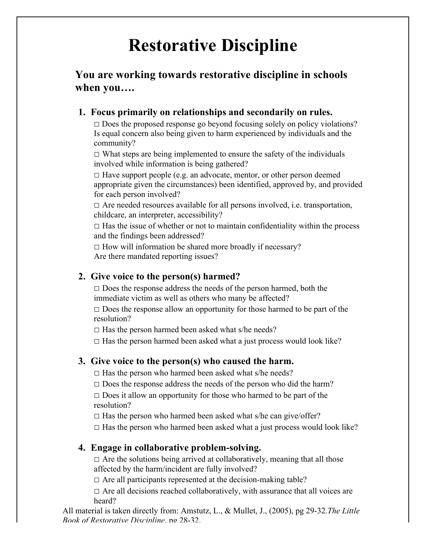# **Restorative Discipline**

# **You are working towards restorative discipline in schools when you….**

#### **1. Focus primarily on relationships and secondarily on rules.**

 $\Box$  Does the proposed response go beyond focusing solely on policy violations? Is equal concern also being given to harm experienced by individuals and the community?

 $\Box$  What steps are being implemented to ensure the safety of the individuals involved while information is being gathered?

 $\square$  Have support people (e.g. an advocate, mentor, or other person deemed appropriate given the circumstances) been identified, approved by, and provided for each person involved?

 $\square$  Are needed resources available for all persons involved, i.e. transportation, childcare, an interpreter, accessibility?

 $\Box$  Has the issue of whether or not to maintain confidentiality within the process and the findings been addressed?

 $\Box$  How will information be shared more broadly if necessary? Are there mandated reporting issues?

### **2. Give voice to the person(s) harmed?**

 $\square$  Does the response address the needs of the person harmed, both the immediate victim as well as others who many be affected?

 $\square$  Does the response allow an opportunity for those harmed to be part of the resolution?

 $\Box$  Has the person harmed been asked what s/he needs?

 $\Box$  Has the person harmed been asked what a just process would look like?

### **3. Give voice to the person(s) who caused the harm.**

 $\square$  Has the person who harmed been asked what s/he needs?

 $\square$  Does the response address the needs of the person who did the harm?

 $\square$  Does it allow an opportunity for those who harmed to be part of the resolution?

 $\Box$  Has the person who harmed been asked what s/he can give/offer?

 $\Box$  Has the person who harmed been asked what a just process would look like?

### **4. Engage in collaborative problem-solving.**

 $\Box$  Are the solutions being arrived at collaboratively, meaning that all those affected by the harm/incident are fully involved?

 $\square$  Are all participants represented at the decision-making table?

 $\Box$  Are all decisions reached collaboratively, with assurance that all voices are heard?

All material is taken directly from: Amstutz, L., & Mullet, J., (2005), pg 29-32.*The Little Book of Restorative Discipline*, pg 28-32.